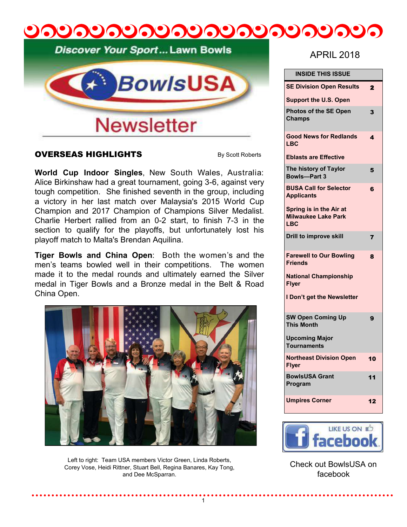# <u>ೂಲೂಲೂಲೂಲೂಲೂಲೂಲೂಲ</u>

Discover Your Sport... Lawn Bowls



#### OVERSEAS HIGHLIGHTS

By Scott Roberts

**World Cup Indoor Singles**, New South Wales, Australia: Alice Birkinshaw had a great tournament, going 3-6, against very tough competition. She finished seventh in the group, including a victory in her last match over Malaysia's 2015 World Cup Champion and 2017 Champion of Champions Silver Medalist. Charlie Herbert rallied from an 0-2 start, to finish 7-3 in the section to qualify for the playoffs, but unfortunately lost his playoff match to Malta's Brendan Aquilina.

**Tiger Bowls and China Open**: Both the women's and the men's teams bowled well in their competitions. The women made it to the medal rounds and ultimately earned the Silver medal in Tiger Bowls and a Bronze medal in the Belt & Road China Open.



Left to right: Team USA members Victor Green, Linda Roberts, Corey Vose, Heidi Rittner, Stuart Bell, Regina Banares, Kay Tong, and Dee McSparran.

# APRIL 2018

| <b>INSIDE THIS ISSUE</b>                                            |                       |
|---------------------------------------------------------------------|-----------------------|
| <b>SE Division Open Results</b>                                     | $\mathbf{2}$          |
| <b>Support the U.S. Open</b>                                        |                       |
| <b>Photos of the SE Open</b><br><b>Champs</b>                       | 3                     |
| <b>Good News for Redlands</b><br><b>LBC</b>                         | $\boldsymbol{\Delta}$ |
| <b>Eblasts are Effective</b>                                        |                       |
| The history of Taylor<br><b>Bowls-Part 3</b>                        | 5                     |
| <b>BUSA Call for Selector</b><br><b>Applicants</b>                  | 6                     |
| Spring is in the Air at<br><b>Milwaukee Lake Park</b><br><b>LBC</b> |                       |
| <b>Drill to improve skill</b>                                       | $\overline{7}$        |
| <b>Farewell to Our Bowling</b><br><b>Friends</b>                    | 8                     |
| <b>National Championship</b><br><b>Flyer</b>                        |                       |
| I Don't get the Newsletter                                          |                       |
| <b>SW Open Coming Up</b><br><b>This Month</b>                       | 9                     |
| <b>Upcoming Major</b><br><b>Tournaments</b>                         |                       |
| <b>Northeast Division Open</b><br><b>Flyer</b>                      | 10                    |
| <b>BowlsUSA Grant</b><br>Program                                    | 11                    |
| <b>Umpires Corner</b>                                               | 12                    |



Check out BowlsUSA on facebook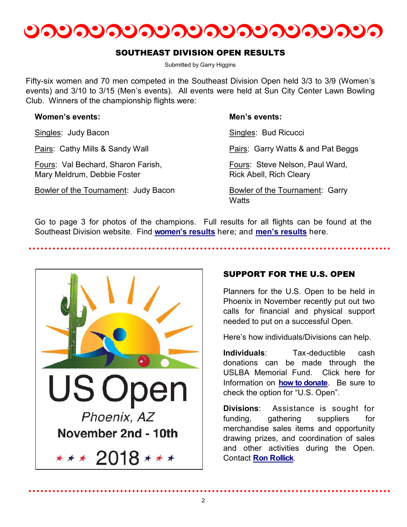

#### SOUTHEAST DIVISION OPEN RESULTS

Submitted by Garry Higgins

Fifty-six women and 70 men competed in the Southeast Division Open held 3/3 to 3/9 (Women's events) and 3/10 to 3/15 (Men's events). All events were held at Sun City Center Lawn Bowling Club. Winners of the championship flights were:

| <b>Women's events:</b>                                            | Men's events:                                                     |
|-------------------------------------------------------------------|-------------------------------------------------------------------|
| Singles: Judy Bacon                                               | Singles: Bud Ricucci                                              |
| Pairs: Cathy Mills & Sandy Wall                                   | Pairs: Garry Watts & and Pat Beggs                                |
| Fours: Val Bechard, Sharon Farish,<br>Mary Meldrum, Debbie Foster | Fours: Steve Nelson, Paul Ward,<br><b>Rick Abell, Rich Cleary</b> |
| Bowler of the Tournament: Judy Bacon                              | Bowler of the Tournament: Garry                                   |

Go to page 3 for photos of the champions. Full results for all flights can be found at the Southeast Division website. Find **[women's results](http://www.sedlawnbowls.org/2018-sed-womens-open/)** here; and **[men's results](http://www.sedlawnbowls.org/2018-sed-open-mens-tournament/)** here.

**Watts** 



# SUPPORT FOR THE U.S. OPEN

Planners for the U.S. Open to be held in Phoenix in November recently put out two calls for financial and physical support needed to put on a successful Open.

Here's how individuals/Divisions can help.

**Individuals**: Tax-deductible cash donations can be made through the USLBA Memorial Fund. Click here for Information on **[how to donate](http://www.bowlsusa.us/lend-support.html)**. Be sure to check the option for "U.S. Open".

**Divisions**: Assistance is sought for funding, gathering suppliers for merchandise sales items and opportunity drawing prizes, and coordination of sales and other activities during the Open. Contact **[Ron Rollick](mailto:dbsgrnkegler63@outlook.com)**.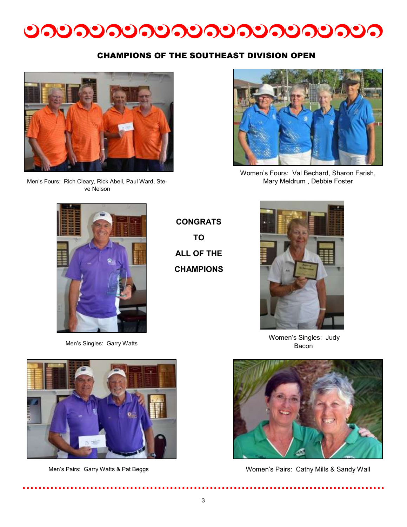

### CHAMPIONS OF THE SOUTHEAST DIVISION OPEN



Men's Fours: Rich Cleary, Rick Abell, Paul Ward, Steve Nelson



Women's Fours: Val Bechard, Sharon Farish, Mary Meldrum , Debbie Foster



Men's Singles: Garry Watts

**CONGRATS TO ALL OF THE CHAMPIONS**



Women's Singles: Judy Bacon



Women's Pairs: Cathy Mills & Sandy Wall

. . . . . . .

. . . . . .



Men's Pairs: Garry Watts & Pat Beggs

..........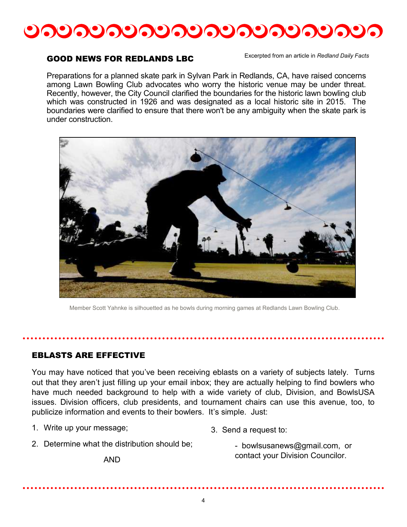

#### GOOD NEWS FOR REDLANDS LBC

Excerpted from an article in *Redland Daily Facts*

Preparations for a planned skate park in Sylvan Park in Redlands, CA, have raised concerns among Lawn Bowling Club advocates who worry the historic venue may be under threat. Recently, however, the City Council clarified the boundaries for the historic lawn bowling club which was constructed in 1926 and was designated as a local historic site in 2015. The boundaries were clarified to ensure that there won't be any ambiguity when the skate park is under construction.



Member Scott Yahnke is silhouetted as he bowls during morning games at Redlands Lawn Bowling Club.

#### EBLASTS ARE EFFECTIVE

You may have noticed that you've been receiving eblasts on a variety of subjects lately. Turns out that they aren't just filling up your email inbox; they are actually helping to find bowlers who have much needed background to help with a wide variety of club, Division, and BowlsUSA issues. Division officers, club presidents, and tournament chairs can use this avenue, too, to publicize information and events to their bowlers. It's simple. Just:

1. Write up your message;

- 3. Send a request to:
- 2. Determine what the distribution should be;
- bowlsusanews@gmail.com, or contact your Division Councilor.

AND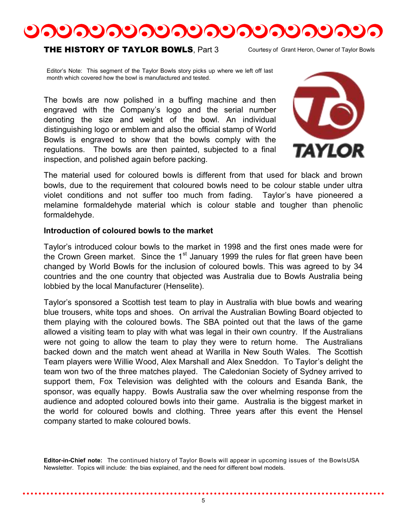

#### **THE HISTORY OF TAYLOR BOWLS. Part 3**

Courtesy of Grant Heron, Owner of Taylor Bowls

Editor's Note: This segment of the Taylor Bowls story picks up where we left off last month which covered how the bowl is manufactured and tested.

The bowls are now polished in a buffing machine and then engraved with the Company's logo and the serial number denoting the size and weight of the bowl. An individual distinguishing logo or emblem and also the official stamp of World Bowls is engraved to show that the bowls comply with the regulations. The bowls are then painted, subjected to a final inspection, and polished again before packing.



The material used for coloured bowls is different from that used for black and brown bowls, due to the requirement that coloured bowls need to be colour stable under ultra violet conditions and not suffer too much from fading. Taylor's have pioneered a melamine formaldehyde material which is colour stable and tougher than phenolic formaldehyde.

#### **Introduction of coloured bowls to the market**

Taylor's introduced colour bowls to the market in 1998 and the first ones made were for the Crown Green market. Since the  $1<sup>st</sup>$  January 1999 the rules for flat green have been changed by World Bowls for the inclusion of coloured bowls. This was agreed to by 34 countries and the one country that objected was Australia due to Bowls Australia being lobbied by the local Manufacturer (Henselite).

Taylor's sponsored a Scottish test team to play in Australia with blue bowls and wearing blue trousers, white tops and shoes. On arrival the Australian Bowling Board objected to them playing with the coloured bowls. The SBA pointed out that the laws of the game allowed a visiting team to play with what was legal in their own country. If the Australians were not going to allow the team to play they were to return home. The Australians backed down and the match went ahead at Warilla in New South Wales. The Scottish Team players were Willie Wood, Alex Marshall and Alex Sneddon. To Taylor's delight the team won two of the three matches played. The Caledonian Society of Sydney arrived to support them, Fox Television was delighted with the colours and Esanda Bank, the sponsor, was equally happy. Bowls Australia saw the over whelming response from the audience and adopted coloured bowls into their game. Australia is the biggest market in the world for coloured bowls and clothing. Three years after this event the Hensel company started to make coloured bowls.

**Editor-in-Chief note:** The continued history of Taylor Bowls will appear in upcoming issues of the BowlsUSA Newsletter. Topics will include: the bias explained, and the need for different bowl models.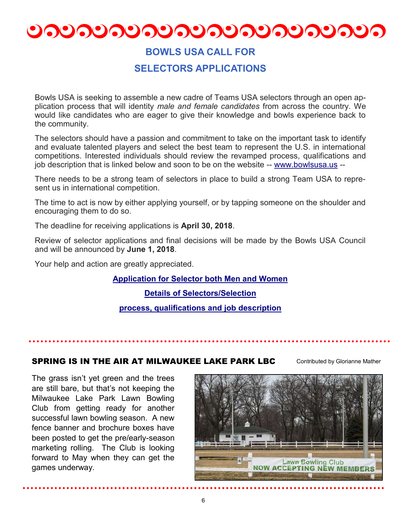# <u>ಲನಲನಲನಲನಲನಲನಲನಲನಲನಲ</u>

# **BOWLS USA CALL FOR**

# **SELECTORS APPLICATIONS**

Bowls USA is seeking to assemble a new cadre of Teams USA selectors through an open application process that will identity *male and female candidates* from across the country. We would like candidates who are eager to give their knowledge and bowls experience back to the community.

The selectors should have a passion and commitment to take on the important task to identify and evaluate talented players and select the best team to represent the U.S. in international competitions. Interested individuals should review the revamped process, qualifications and job description that is linked below and soon to be on the website -- [www.bowlsusa.us](http://r20.rs6.net/tn.jsp?f=001-t7zu5HG0RpQCRja4nKxal3VYXmd8JA5te0C3KKp7lutMQ6tzeiOeY9wNI9NIO8ctMNlgXIFp3pKQzmGbikJQlHeADN_vtGr-HS5CKylydfxjDPyw5K_LIDTliI_lyfFVb96cgaJoyhBx22RYuAhQw==&c=6gpoXAbaLDaarnB_CyYvs1MNFmyYoJLMdGsKaftOVeknSdfP2DlAtQ==&ch=tElCcYVWTydzT) --

There needs to be a strong team of selectors in place to build a strong Team USA to represent us in international competition.

The time to act is now by either applying yourself, or by tapping someone on the shoulder and encouraging them to do so.

The deadline for receiving applications is **April 30, 2018**.

Review of selector applications and final decisions will be made by the Bowls USA Council and will be announced by **June 1, 2018**.

Your help and action are greatly appreciated.

#### **[Application for Selector both Men and Women](http://r20.rs6.net/tn.jsp?f=001-t7zu5HG0RpQCRja4nKxal3VYXmd8JA5te0C3KKp7lutMQ6tzeiOeY9wNI9NIO8cLzmJ5Yh2-trlVZMg_AZyzd_FdtMdUTAlFN6Juhz5JjNlseB-GMr_tSz4irnRbCg-_P_ZBsh0SvaCc_8mFZD8i00gK--yaPB0pZh_b4GfpM-mn7vqCFZN5SKuJK2kuU9PWb09mg4TS1-LIwvQJaE76_Cmd_uDk2-o1u1q)**

**[Details of Selectors/Selection](http://r20.rs6.net/tn.jsp?f=001-t7zu5HG0RpQCRja4nKxal3VYXmd8JA5te0C3KKp7lutMQ6tzeiOeY9wNI9NIO8c7Nt3iWyMdEsHeA52bsmJEfV-_aglxwsT5iS3gXAAJuvZ4KkWKNaFxZxHL2qNmpkAwbwbbWHfevXaa63dMdH7RH98nNxInIsG-iildpAZM4N9LR7WzEqOTn5zYIphdZu4yMGcZPIapEy5Jnh9RKldz3zs5E9VE3MYqfhx)**

**[process, qualifications and job description](http://r20.rs6.net/tn.jsp?f=001-t7zu5HG0RpQCRja4nKxal3VYXmd8JA5te0C3KKp7lutMQ6tzeiOeY9wNI9NIO8c7Nt3iWyMdEsHeA52bsmJEfV-_aglxwsT5iS3gXAAJuvZ4KkWKNaFxZxHL2qNmpkAwbwbbWHfevXaa63dMdH7RH98nNxInIsG-iildpAZM4N9LR7WzEqOTn5zYIphdZu4yMGcZPIapEy5Jnh9RKldz3zs5E9VE3MYqfhx)**

SPRING IS IN THE AIR AT MILWAUKEE LAKE PARK LBC

Contributed by Glorianne Mather

The grass isn't yet green and the trees are still bare, but that's not keeping the Milwaukee Lake Park Lawn Bowling Club from getting ready for another successful lawn bowling season. A new fence banner and brochure boxes have been posted to get the pre/early-season marketing rolling. The Club is looking forward to May when they can get the games underway.

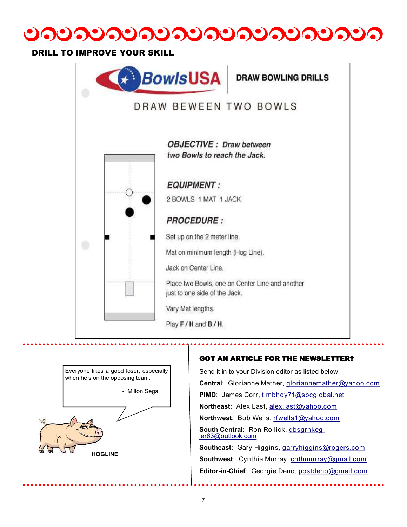

### DRILL TO IMPROVE YOUR SKILL





Send it in to your Division editor as listed below: **Central**: Glorianne Mather, [gloriannemather@yahoo.com](mailto:gloriannemather@yahoo.com) **PIMD**: James Corr, [timbhoy71@sbcglobal.net](mailto:timbhoy71@sbcglobal.net) **Northeast**: Alex Last, [alex.last@yahoo.com](mailto:alex.last@yahoo.com) **Northwest**: Bob Wells, [rfwells1@yahoo.com](mailto:rfwells1@yahoo.com) **South Central**: Ron Rollick, [dbsgrnkeg](mailto:dbsgrnkegler63@outlook.com)[ler63@outlook.com](mailto:dbsgrnkegler63@outlook.com) **Southeast**: Gary Higgins, [garryhiggins@rogers.com](mailto:garryhiggins@rogers.com)

**Southwest**: Cynthia Murray, [cnthmurray@gmail.com](mailto:cnthmurray@gmail.com) **Editor-in-Chief**: Georgie Deno, [postdeno@gmail.com](mailto:postdeno@gmail.com)

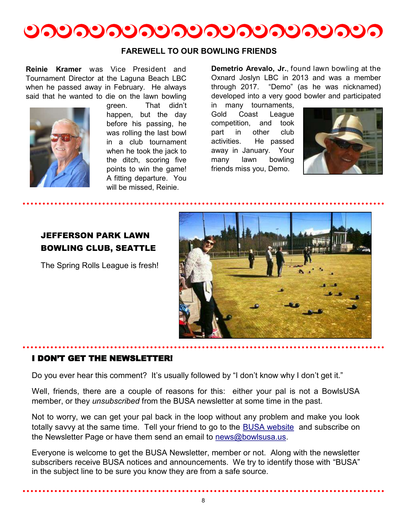

#### **FAREWELL TO OUR BOWLING FRIENDS**

**Reinie Kramer** was Vice President and Tournament Director at the Laguna Beach LBC when he passed away in February. He always said that he wanted to die on the lawn bowling



green. That didn't happen, but the day before his passing, he was rolling the last bowl in a club tournament when he took the jack to the ditch, scoring five points to win the game! A fitting departure. You will be missed, Reinie.

**Demetrio Arevalo, Jr.**, found lawn bowling at the Oxnard Joslyn LBC in 2013 and was a member through 2017. "Demo" (as he was nicknamed) developed into a very good bowler and participated

in many tournaments, Gold Coast League competition, and took part in other club activities. He passed away in January. Your many lawn bowling friends miss you, Demo.



# JEFFERSON PARK LAWN BOWLING CLUB, SEATTLE

The Spring Rolls League is fresh!



#### I DON'T GET THE NEWSLETTER!

Do you ever hear this comment? It's usually followed by "I don't know why I don't get it."

Well, friends, there are a couple of reasons for this: either your pal is not a BowlsUSA member, or they *unsubscribed* from the BUSA newsletter at some time in the past.

Not to worry, we can get your pal back in the loop without any problem and make you look totally savvy at the same time. Tell your friend to go to the **BUSA website** and subscribe on the Newsletter Page or have them send an email to [news@bowlsusa.us.](file:///C:/Users/Georgeann/Downloads/news@bowlsusa.us)

Everyone is welcome to get the BUSA Newsletter, member or not. Along with the newsletter subscribers receive BUSA notices and announcements. We try to identify those with "BUSA" in the subject line to be sure you know they are from a safe source.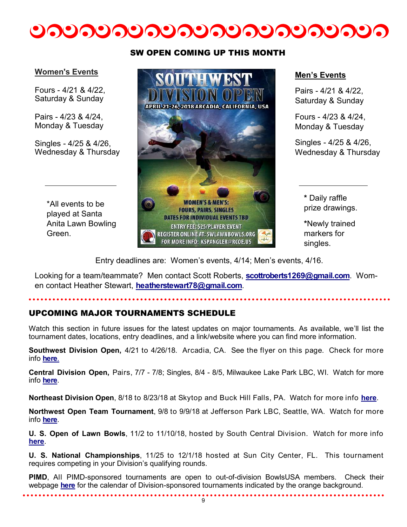

#### **Women's Events**

Fours - 4/21 & 4/22, Saturday & Sunday

Pairs - 4/23 & 4/24, Monday & Tuesday

Singles - 4/25 & 4/26, Wednesday & Thursday

> \*All events to be played at Santa Anita Lawn Bowling Green.

#### SW OPEN COMING UP THIS MONTH



#### **Men's Events**

Pairs - 4/21 & 4/22, Saturday & Sunday

Fours - 4/23 & 4/24, Monday & Tuesday

Singles - 4/25 & 4/26, Wednesday & Thursday

> **\*** Daily raffle prize drawings.

**\***Newly trained markers for singles.

Entry deadlines are: Women's events, 4/14; Men's events, 4/16.

Looking for a team/teammate? Men contact Scott Roberts, **[scottroberts1269@gmail.com](mailto:scottroberts1269@gmail.com)**. Women contact Heather Stewart, **[heatherstewart78@gmail.com](mailto:heatherstewart78@gmail.com)**.

### UPCOMING MAJOR TOURNAMENTS SCHEDULE

Watch this section in future issues for the latest updates on major tournaments. As available, we'll list the tournament dates, locations, entry deadlines, and a link/website where you can find more information.

**Southwest Division Open,** 4/21 to 4/26/18. Arcadia, CA. See the flyer on this page. Check for more info **[here](http://www.swlawnbowls.org)**[.](http://www.swlawnbowls.org)

**Central Division Open,** Pairs, 7/7 - 7/8; Singles, 8/4 - 8/5, Milwaukee Lake Park LBC, WI. Watch for more info **[here](http://www.lawnbowlscentral.com/?page_id=1786)**[.](http://www.lawnbowlscentral.com/?page_id=1786)

**Northeast Division Open**, 8/18 to 8/23/18 at Skytop and Buck Hill Falls, PA. Watch for more info **[here](http://www.bowlsnortheast.com/2018-tournament-schedule.html)**.

**Northwest Open Team Tournament**, 9/8 to 9/9/18 at Jefferson Park LBC, Seattle, WA. Watch for more info **[here](http://www.bowlsnw.com/2018-tournaments.html)**[.](http://www.bowlsnortheast.com/2018-tournament-schedule.html)

**U. S. Open of Lawn Bowls**, 11/2 to 11/10/18, hosted by South Central Division. Watch for more info **[here](https://www.scdlawnbowls.com/2018-us-open)**.

**U. S. National Championships**, 11/25 to 12/1/18 hosted at Sun City Center, FL. This tournament requires competing in your Division's qualifying rounds.

**PIMD**, All PIMD-sponsored tournaments are open to out-of-division BowlsUSA members. Check their webpage **[here](http://www.pimdlawnbowls.org)** for the calendar of Division-sponsored tournaments indicated by the orange background.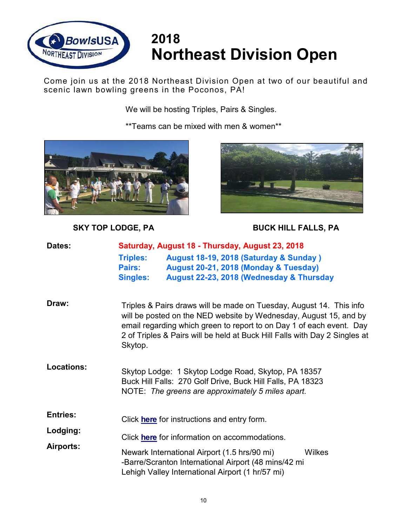

# **2018 Northeast Division Open**

Come join us at the 2018 Northeast Division Open at two of our beautiful and scenic lawn bowling greens in the Poconos, PA!

We will be hosting Triples, Pairs & Singles.

\*\*Teams can be mixed with men & women\*\*





# **SKY TOP LODGE, PA BUCK HILL FALLS, PA**

| Dates:                | Saturday, August 18 - Thursday, August 23, 2018 |                                                                                                                                                                                                                                                                                                |        |
|-----------------------|-------------------------------------------------|------------------------------------------------------------------------------------------------------------------------------------------------------------------------------------------------------------------------------------------------------------------------------------------------|--------|
|                       | <b>Triples:</b>                                 | August 18-19, 2018 (Saturday & Sunday)                                                                                                                                                                                                                                                         |        |
|                       | Pairs:                                          | August 20-21, 2018 (Monday & Tuesday)                                                                                                                                                                                                                                                          |        |
|                       | <b>Singles:</b>                                 | August 22-23, 2018 (Wednesday & Thursday                                                                                                                                                                                                                                                       |        |
| Draw:                 | Skytop.                                         | Triples & Pairs draws will be made on Tuesday, August 14. This info<br>will be posted on the NED website by Wednesday, August 15, and by<br>email regarding which green to report to on Day 1 of each event. Day<br>2 of Triples & Pairs will be held at Buck Hill Falls with Day 2 Singles at |        |
| <b>Locations:</b>     |                                                 | Skytop Lodge: 1 Skytop Lodge Road, Skytop, PA 18357<br>Buck Hill Falls: 270 Golf Drive, Buck Hill Falls, PA 18323<br>NOTE: The greens are approximately 5 miles apart.                                                                                                                         |        |
| <b>Entries:</b>       |                                                 | Click <b>here</b> for instructions and entry form.                                                                                                                                                                                                                                             |        |
| Lodging:<br>Airports: |                                                 | Click here for information on accommodations.                                                                                                                                                                                                                                                  |        |
|                       |                                                 | Newark International Airport (1.5 hrs/90 mi)<br>-Barre/Scranton International Airport (48 mins/42 mi<br>Lehigh Valley International Airport (1 hr/57 mi)                                                                                                                                       | Wilkes |
|                       |                                                 |                                                                                                                                                                                                                                                                                                |        |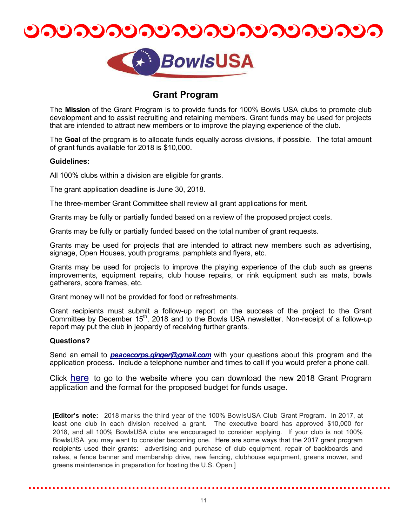



### **Grant Program**

The **Mission** of the Grant Program is to provide funds for 100% Bowls USA clubs to promote club development and to assist recruiting and retaining members. Grant funds may be used for projects that are intended to attract new members or to improve the playing experience of the club.

The **Goal** of the program is to allocate funds equally across divisions, if possible. The total amount of grant funds available for 2018 is \$10,000.

#### **Guidelines:**

All 100% clubs within a division are eligible for grants.

The grant application deadline is June 30, 2018.

The three-member Grant Committee shall review all grant applications for merit.

Grants may be fully or partially funded based on a review of the proposed project costs.

Grants may be fully or partially funded based on the total number of grant requests.

Grants may be used for projects that are intended to attract new members such as advertising, signage, Open Houses, youth programs, pamphlets and flyers, etc.

Grants may be used for projects to improve the playing experience of the club such as greens improvements, equipment repairs, club house repairs, or rink equipment such as mats, bowls gatherers, score frames, etc.

Grant money will not be provided for food or refreshments.

Grant recipients must submit a follow-up report on the success of the project to the Grant Committee by December  $15<sup>th</sup>$ , 2018 and to the Bowls USA newsletter. Non-receipt of a follow-up report may put the club in jeopardy of receiving further grants.

#### **Questions?**

Send an email to *[peacecorps.ginger@gmail.com](mailto:peacecorps.ginger@gmail.com?subject=2018%20BowlsUSA%20Grant%20Program)* with your questions about this program and the application process. Include a telephone number and times to call if you would prefer a phone call.

Click [here](http://www.bowlsusa.us/grant-program.html) to go to the website where you can download the new 2018 Grant Program application and the format for the proposed budget for funds usage.

[**Editor's note:** 2018 marks the third year of the 100% BowlsUSA Club Grant Program. In 2017, at least one club in each division received a grant. The executive board has approved \$10,000 for 2018, and all 100% BowlsUSA clubs are encouraged to consider applying. If your club is not 100% BowlsUSA, you may want to consider becoming one. Here are some ways that the 2017 grant program recipients used their grants: advertising and purchase of club equipment, repair of backboards and rakes, a fence banner and membership drive, new fencing, clubhouse equipment, greens mower, and greens maintenance in preparation for hosting the U.S. Open.]